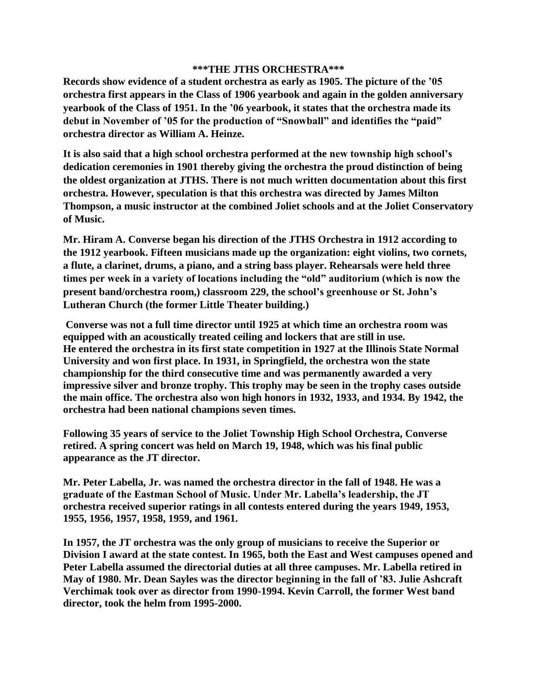## **\*\*\*THE JTHS ORCHESTRA\*\*\***

**Records show evidence of a student orchestra as early as 1905. The picture of the '05 orchestra first appears in the Class of 1906 yearbook and again in the golden anniversary yearbook of the Class of 1951. In the '06 yearbook, it states that the orchestra made its debut in November of '05 for the production of "Snowball" and identifies the "paid" orchestra director as William A. Heinze.**

**It is also said that a high school orchestra performed at the new township high school's dedication ceremonies in 1901 thereby giving the orchestra the proud distinction of being the oldest organization at JTHS. There is not much written documentation about this first orchestra. However, speculation is that this orchestra was directed by James Milton Thompson, a music instructor at the combined Joliet schools and at the Joliet Conservatory of Music.**

**Mr. Hiram A. Converse began his direction of the JTHS Orchestra in 1912 according to the 1912 yearbook. Fifteen musicians made up the organization: eight violins, two cornets, a flute, a clarinet, drums, a piano, and a string bass player. Rehearsals were held three times per week in a variety of locations including the "old" auditorium (which is now the present band/orchestra room,) classroom 229, the school's greenhouse or St. John's Lutheran Church (the former Little Theater building.)** 

**Converse was not a full time director until 1925 at which time an orchestra room was equipped with an acoustically treated ceiling and lockers that are still in use. He entered the orchestra in its first state competition in 1927 at the Illinois State Normal University and won first place. In 1931, in Springfield, the orchestra won the state championship for the third consecutive time and was permanently awarded a very impressive silver and bronze trophy. This trophy may be seen in the trophy cases outside the main office. The orchestra also won high honors in 1932, 1933, and 1934. By 1942, the orchestra had been national champions seven times.**

**Following 35 years of service to the Joliet Township High School Orchestra, Converse retired. A spring concert was held on March 19, 1948, which was his final public appearance as the JT director.** 

**Mr. Peter Labella, Jr. was named the orchestra director in the fall of 1948. He was a graduate of the Eastman School of Music. Under Mr. Labella's leadership, the JT orchestra received superior ratings in all contests entered during the years 1949, 1953, 1955, 1956, 1957, 1958, 1959, and 1961.** 

**In 1957, the JT orchestra was the only group of musicians to receive the Superior or Division I award at the state contest. In 1965, both the East and West campuses opened and Peter Labella assumed the directorial duties at all three campuses. Mr. Labella retired in May of 1980. Mr. Dean Sayles was the director beginning in the fall of '83. Julie Ashcraft Verchimak took over as director from 1990-1994. Kevin Carroll, the former West band director, took the helm from 1995-2000.**